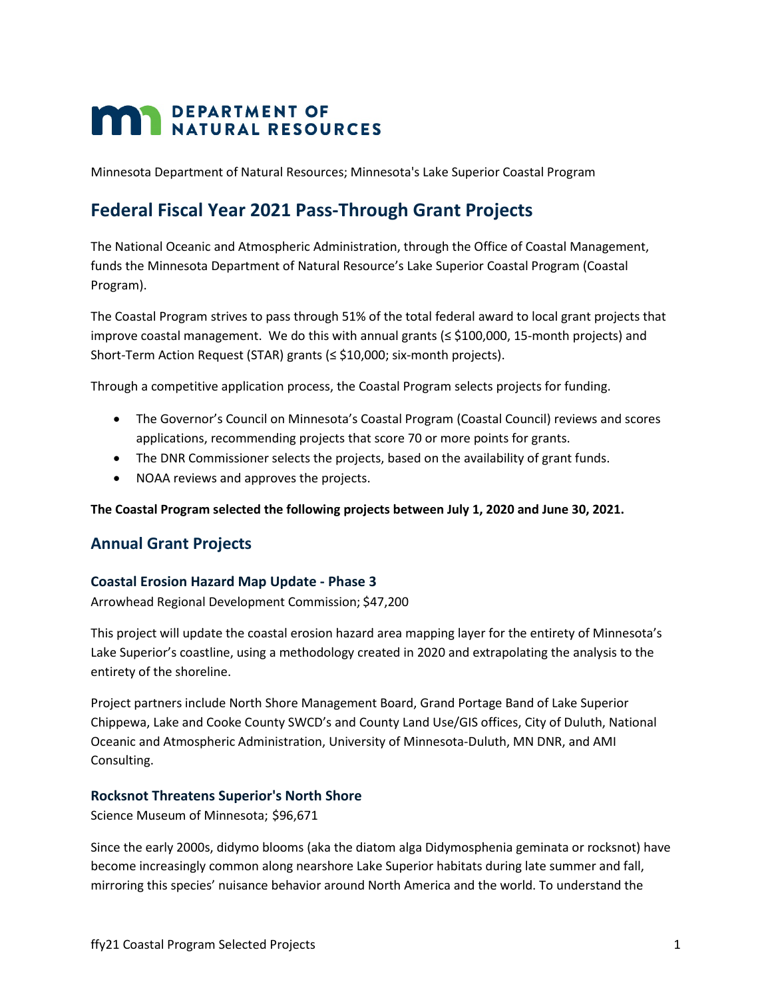# **MAN DEPARTMENT OF NATURAL RESOURCES**

Minnesota Department of Natural Resources; Minnesota's Lake Superior Coastal Program

# **Federal Fiscal Year 2021 Pass-Through Grant Projects**

The National Oceanic and Atmospheric Administration, through the Office of Coastal Management, funds the Minnesota Department of Natural Resource's Lake Superior Coastal Program (Coastal Program).

The Coastal Program strives to pass through 51% of the total federal award to local grant projects that improve coastal management. We do this with annual grants  $(\leq 100,000, 15$ -month projects) and Short-Term Action Request (STAR) grants (≤ \$10,000; six-month projects).

Through a competitive application process, the Coastal Program selects projects for funding.

- The Governor's Council on Minnesota's Coastal Program (Coastal Council) reviews and scores applications, recommending projects that score 70 or more points for grants.
- The DNR Commissioner selects the projects, based on the availability of grant funds.
- NOAA reviews and approves the projects.

**The Coastal Program selected the following projects between July 1, 2020 and June 30, 2021.**

## **Annual Grant Projects**

#### **Coastal Erosion Hazard Map Update - Phase 3**

Arrowhead Regional Development Commission; \$47,200

This project will update the coastal erosion hazard area mapping layer for the entirety of Minnesota's Lake Superior's coastline, using a methodology created in 2020 and extrapolating the analysis to the entirety of the shoreline.

Project partners include North Shore Management Board, Grand Portage Band of Lake Superior Chippewa, Lake and Cooke County SWCD's and County Land Use/GIS offices, City of Duluth, National Oceanic and Atmospheric Administration, University of Minnesota-Duluth, MN DNR, and AMI Consulting.

#### **Rocksnot Threatens Superior's North Shore**

Science Museum of Minnesota; \$96,671

Since the early 2000s, didymo blooms (aka the diatom alga Didymosphenia geminata or rocksnot) have become increasingly common along nearshore Lake Superior habitats during late summer and fall, mirroring this species' nuisance behavior around North America and the world. To understand the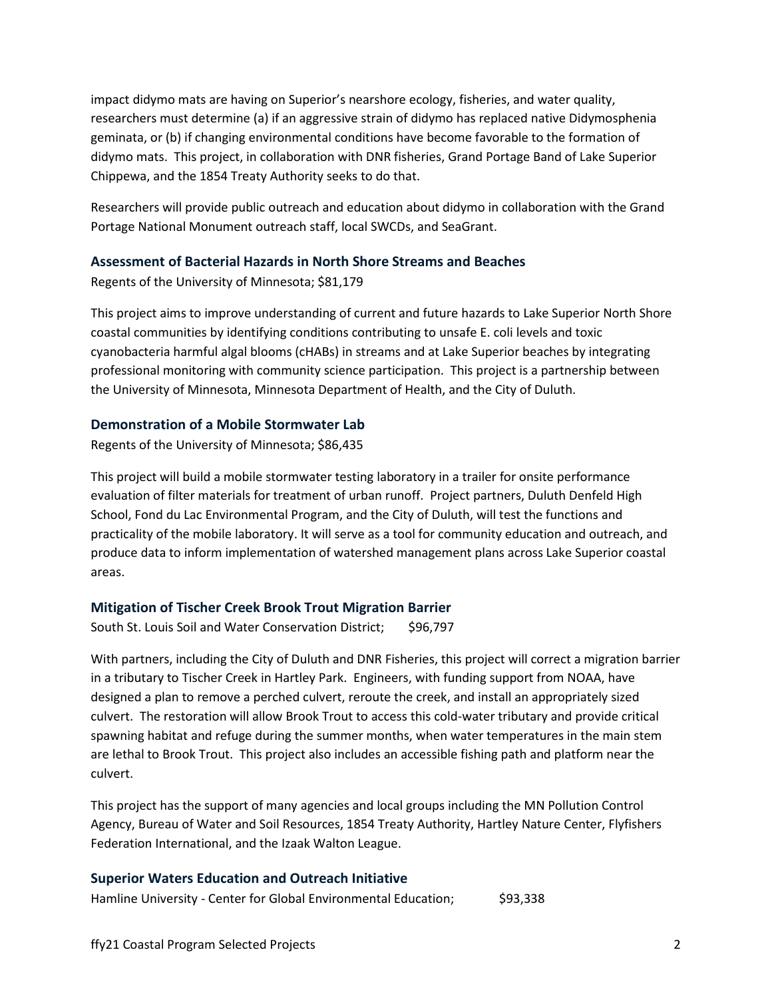impact didymo mats are having on Superior's nearshore ecology, fisheries, and water quality, researchers must determine (a) if an aggressive strain of didymo has replaced native Didymosphenia geminata, or (b) if changing environmental conditions have become favorable to the formation of didymo mats. This project, in collaboration with DNR fisheries, Grand Portage Band of Lake Superior Chippewa, and the 1854 Treaty Authority seeks to do that.

Researchers will provide public outreach and education about didymo in collaboration with the Grand Portage National Monument outreach staff, local SWCDs, and SeaGrant.

#### **Assessment of Bacterial Hazards in North Shore Streams and Beaches**

Regents of the University of Minnesota; \$81,179

This project aims to improve understanding of current and future hazards to Lake Superior North Shore coastal communities by identifying conditions contributing to unsafe E. coli levels and toxic cyanobacteria harmful algal blooms (cHABs) in streams and at Lake Superior beaches by integrating professional monitoring with community science participation. This project is a partnership between the University of Minnesota, Minnesota Department of Health, and the City of Duluth.

#### **Demonstration of a Mobile Stormwater Lab**

Regents of the University of Minnesota; \$86,435

This project will build a mobile stormwater testing laboratory in a trailer for onsite performance evaluation of filter materials for treatment of urban runoff. Project partners, Duluth Denfeld High School, Fond du Lac Environmental Program, and the City of Duluth, will test the functions and practicality of the mobile laboratory. It will serve as a tool for community education and outreach, and produce data to inform implementation of watershed management plans across Lake Superior coastal areas.

#### **Mitigation of Tischer Creek Brook Trout Migration Barrier**

South St. Louis Soil and Water Conservation District; \$96,797

With partners, including the City of Duluth and DNR Fisheries, this project will correct a migration barrier in a tributary to Tischer Creek in Hartley Park. Engineers, with funding support from NOAA, have designed a plan to remove a perched culvert, reroute the creek, and install an appropriately sized culvert. The restoration will allow Brook Trout to access this cold-water tributary and provide critical spawning habitat and refuge during the summer months, when water temperatures in the main stem are lethal to Brook Trout. This project also includes an accessible fishing path and platform near the culvert.

This project has the support of many agencies and local groups including the MN Pollution Control Agency, Bureau of Water and Soil Resources, 1854 Treaty Authority, Hartley Nature Center, Flyfishers Federation International, and the Izaak Walton League.

#### **Superior Waters Education and Outreach Initiative**

Hamline University - Center for Global Environmental Education; \$93,338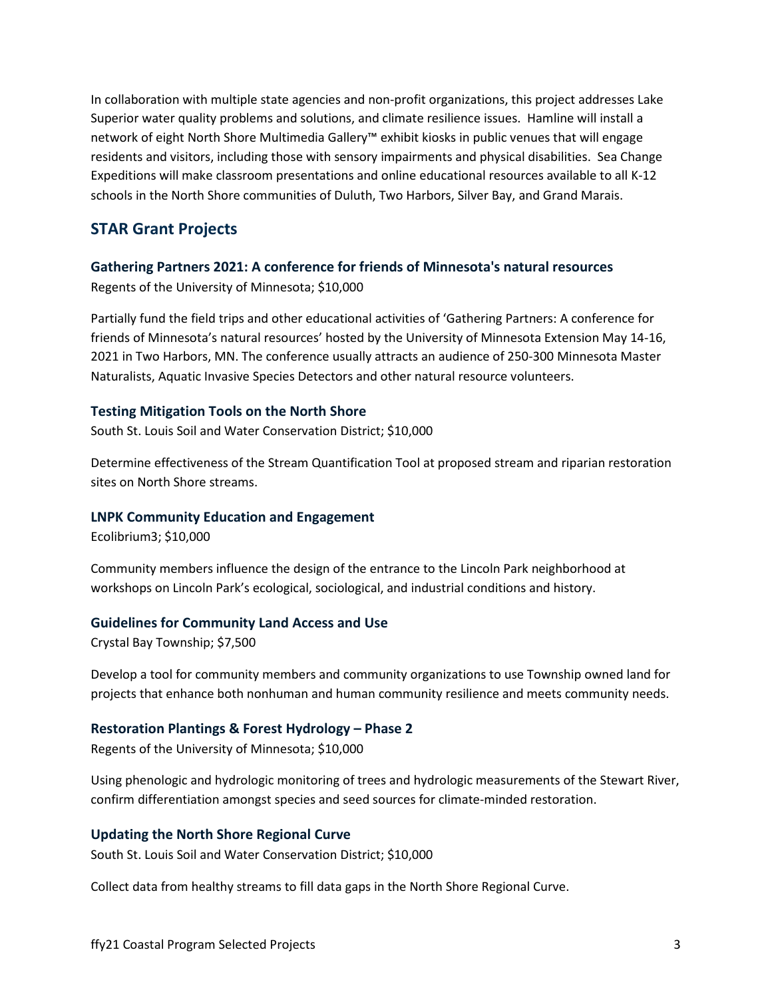In collaboration with multiple state agencies and non-profit organizations, this project addresses Lake Superior water quality problems and solutions, and climate resilience issues. Hamline will install a network of eight North Shore Multimedia Gallery™ exhibit kiosks in public venues that will engage residents and visitors, including those with sensory impairments and physical disabilities. Sea Change Expeditions will make classroom presentations and online educational resources available to all K-12 schools in the North Shore communities of Duluth, Two Harbors, Silver Bay, and Grand Marais.

### **STAR Grant Projects**

#### **Gathering Partners 2021: A conference for friends of Minnesota's natural resources** Regents of the University of Minnesota; \$10,000

Partially fund the field trips and other educational activities of 'Gathering Partners: A conference for friends of Minnesota's natural resources' hosted by the University of Minnesota Extension May 14-16, 2021 in Two Harbors, MN. The conference usually attracts an audience of 250-300 Minnesota Master Naturalists, Aquatic Invasive Species Detectors and other natural resource volunteers.

#### **Testing Mitigation Tools on the North Shore**

South St. Louis Soil and Water Conservation District; \$10,000

Determine effectiveness of the Stream Quantification Tool at proposed stream and riparian restoration sites on North Shore streams.

#### **LNPK Community Education and Engagement**

Ecolibrium3; \$10,000

Community members influence the design of the entrance to the Lincoln Park neighborhood at workshops on Lincoln Park's ecological, sociological, and industrial conditions and history.

#### **Guidelines for Community Land Access and Use**

Crystal Bay Township; \$7,500

Develop a tool for community members and community organizations to use Township owned land for projects that enhance both nonhuman and human community resilience and meets community needs.

#### **Restoration Plantings & Forest Hydrology – Phase 2**

Regents of the University of Minnesota; \$10,000

Using phenologic and hydrologic monitoring of trees and hydrologic measurements of the Stewart River, confirm differentiation amongst species and seed sources for climate-minded restoration.

#### **Updating the North Shore Regional Curve**

South St. Louis Soil and Water Conservation District; \$10,000

Collect data from healthy streams to fill data gaps in the North Shore Regional Curve.